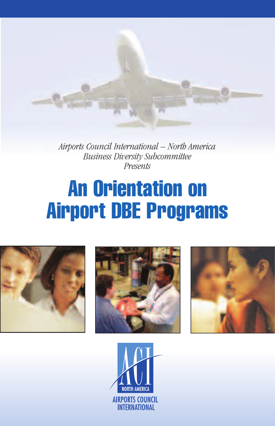*Airports Council International – North America Business Diversity Subcommittee Presents*

# **An Orientation on Airport DBE Programs**







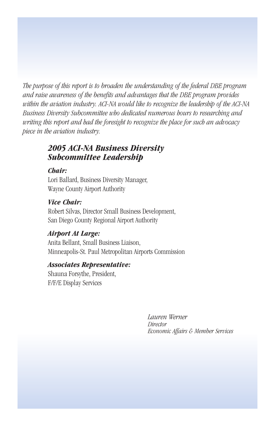*The purpose of this report is to broaden the understanding of the federal DBE program and raise awareness of the benefits and advantages that the DBE program provides within the aviation industry. ACI-NA would like to recognize the leadership of the ACI-NA Business Diversity Subcommittee who dedicated numerous hours to researching and writing this report and had the foresight to recognize the place for such an advocacy piece in the aviation industry.*

#### *2005 ACI-NA Business Diversity Subcommittee Leadership*

#### *Chair:*

Lori Ballard, Business Diversity Manager, Wayne County Airport Authority

#### *Vice Chair:*

Robert Silvas, Director Small Business Development, San Diego County Regional Airport Authority

#### *Airport At Large:*

Anita Bellant, Small Business Liaison, Minneapolis-St. Paul Metropolitan Airports Commission

#### *Associates Representative:*

Shauna Forsythe, President, F/F/E Display Services

> *Lauren Werner Director Economic Affairs & Member Services*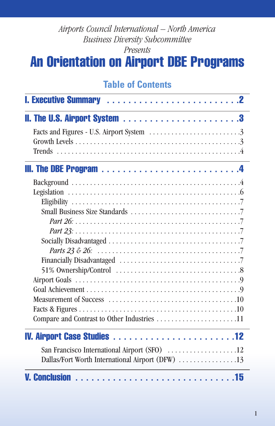#### *Airports Council International – North America Business Diversity Subcommittee Presents*

# **An Orientation on Airport DBE Programs**

# **Table of Contents**

| San Francisco International Airport (SFO) 12     |  |
|--------------------------------------------------|--|
| Dallas/Fort Worth International Airport (DFW) 13 |  |
|                                                  |  |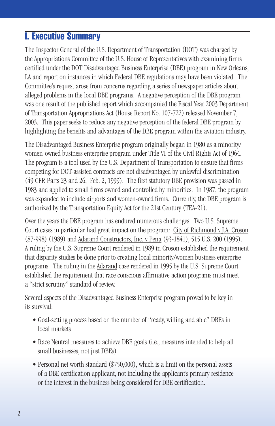# **I. Executive Summary**

The Inspector General of the U.S. Department of Transportation (DOT) was charged by the Appropriations Committee of the U.S. House of Representatives with examining firms certified under the DOT Disadvantaged Business Enterprise (DBE) program in New Orleans, LA and report on instances in which Federal DBE regulations may have been violated. The Committee's request arose from concerns regarding a series of newspaper articles about alleged problems in the local DBE programs. A negative perception of the DBE program was one result of the published report which accompanied the Fiscal Year 2003 Department of Transportation Appropriations Act (House Report No. 107-722) released November 7, 2003. This paper seeks to reduce any negative perception of the federal DBE program by highlighting the benefits and advantages of the DBE program within the aviation industry.

The Disadvantaged Business Enterprise program originally began in 1980 as a minority/ women-owned business enterprise program under Title VI of the Civil Rights Act of 1964. The program is a tool used by the U.S. Department of Transportation to ensure that firms competing for DOT-assisted contracts are not disadvantaged by unlawful discrimination (49 CFR Parts 23 and 26, Feb. 2, 1999). The first statutory DBE provision was passed in 1983 and applied to small firms owned and controlled by minorities. In 1987, the program was expanded to include airports and women-owned firms. Currently, the DBE program is authorized by the Transportation Equity Act for the 21st Century (TEA-21).

Over the years the DBE program has endured numerous challenges. Two U.S. Supreme Court cases in particular had great impact on the program: City of Richmond v J.A. Croson (87-998) (1989) and Adarand Constructors, Inc. v Pena (93-1841), 515 U.S. 200 (1995). A ruling by the U.S. Supreme Court rendered in 1989 in Croson established the requirement that disparity studies be done prior to creating local minority/women business enterprise programs. The ruling in the Adarand case rendered in 1995 by the U.S. Supreme Court established the requirement that race conscious affirmative action programs must meet a "strict scrutiny" standard of review.

Several aspects of the Disadvantaged Business Enterprise program proved to be key in its survival:

- Goal-setting process based on the number of "ready, willing and able" DBEs in local markets
- Race Neutral measures to achieve DBE goals (i.e., measures intended to help all small businesses, not just DBEs)
- Personal net worth standard (\$750,000), which is a limit on the personal assets of a DBE certification applicant, not including the applicant's primary residence or the interest in the business being considered for DBE certification.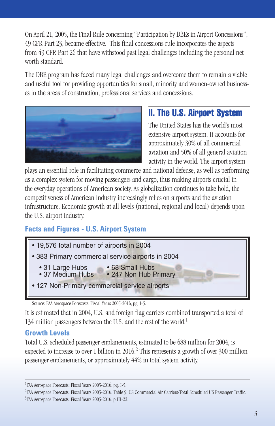On April 21, 2005, the Final Rule concerning "Participation by DBEs in Airport Concessions", 49 CFR Part 23, became effective. This final concessions rule incorporates the aspects from 49 CFR Part 26 that have withstood past legal challenges including the personal net worth standard.

The DBE program has faced many legal challenges and overcome them to remain a viable and useful tool for providing opportunities for small, minority and women-owned businesses in the areas of construction, professional services and concessions.



# **II. The U.S. Airport System**

The United States has the world's most extensive airport system. It accounts for approximately 30% of all commercial aviation and 50% of all general aviation activity in the world. The airport system

plays an essential role in facilitating commerce and national defense, as well as performing as a complex system for moving passengers and cargo, thus making airports crucial in the everyday operations of American society. As globalization continues to take hold, the competitiveness of American industry increasingly relies on airports and the aviation infrastructure. Economic growth at all levels (national, regional and local) depends upon the U.S. airport industry.

#### **Facts and Figures - U.S. Airport System**



Source: FAA Aerospace Forecasts: Fiscal Years 2005-2016, pg. I-5.

It is estimated that in 2004, U.S. and foreign flag carriers combined transported a total of 134 million passengers between the U.S. and the rest of the world.<sup>1</sup>

#### **Growth Levels**

Total U.S. scheduled passenger enplanements, estimated to be 688 million for 2004, is expected to increase to over 1 billion in  $2016<sup>2</sup>$ . This represents a growth of over 300 million passenger enplanements, or approximately 44% in total system activity.

<sup>&</sup>lt;sup>1</sup>FAA Aerospace Forecasts: Fiscal Years 2005-2016. pg. I-5.

<sup>&</sup>lt;sup>2</sup>FAA Aerospace Forecasts: Fiscal Years 2005-2016. Table 9: US Commercial Air Carriers/Total Scheduled US Passenger Traffic. 3 FAA Aerospace Forecasts: Fiscal Years 2005-2016. p III-22.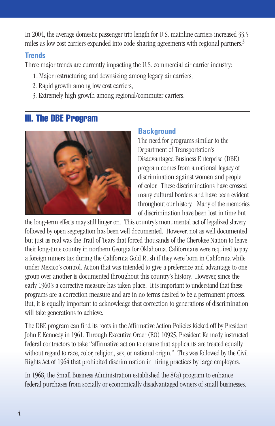In 2004, the average domestic passenger trip length for U.S. mainline carriers increased 33.5 miles as low cost carriers expanded into code-sharing agreements with regional partners.<sup>3</sup>

#### **Trends**

Three major trends are currently impacting the U.S. commercial air carrier industry:

- 1.Major restructuring and downsizing among legacy air carriers,
- 2. Rapid growth among low cost carriers,
- 3. Extremely high growth among regional/commuter carriers.

#### **III. The DBE Program**



#### **Background**

The need for programs similar to the Department of Transportation's Disadvantaged Business Enterprise (DBE) program comes from a national legacy of discrimination against women and people of color. These discriminations have crossed many cultural borders and have been evident throughout our history. Many of the memories of discrimination have been lost in time but

the long-term effects may still linger on. This country's monumental act of legalized slavery followed by open segregation has been well documented. However, not as well documented but just as real was the Trail of Tears that forced thousands of the Cherokee Nation to leave their long-time country in northern Georgia for Oklahoma. Californians were required to pay a foreign miners tax during the California Gold Rush if they were born in California while under Mexico's control. Action that was intended to give a preference and advantage to one group over another is documented throughout this country's history. However, since the early 1960's a corrective measure has taken place. It is important to understand that these programs are a correction measure and are in no terms desired to be a permanent process. But, it is equally important to acknowledge that correction to generations of discrimination will take generations to achieve.

The DBE program can find its roots in the Affirmative Action Policies kicked off by President John F. Kennedy in 1961. Through Executive Order (EO) 10925, President Kennedy instructed federal contractors to take "affirmative action to ensure that applicants are treated equally without regard to race, color, religion, sex, or national origin." This was followed by the Civil Rights Act of 1964 that prohibited discrimination in hiring practices by large employers.

In 1968, the Small Business Administration established the  $8(a)$  program to enhance federal purchases from socially or economically disadvantaged owners of small businesses.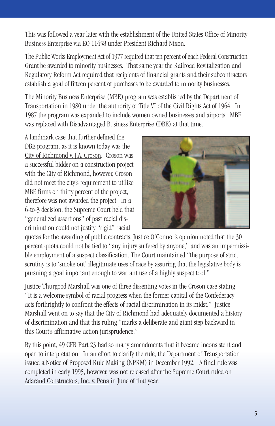This was followed a year later with the establishment of the United States Office of Minority Business Enterprise via EO 11458 under President Richard Nixon.

The Public Works Employment Act of 1977 required that ten percent of each Federal Construction Grant be awarded to minority businesses. That same year the Railroad Revitalization and Regulatory Reform Act required that recipients of financial grants and their subcontractors establish a goal of fifteen percent of purchases to be awarded to minority businesses.

The Minority Business Enterprise (MBE) program was established by the Department of Transportation in 1980 under the authority of Title VI of the Civil Rights Act of 1964. In 1987 the program was expanded to include women owned businesses and airports. MBE was replaced with Disadvantaged Business Enterprise (DBE) at that time.

A landmark case that further defined the DBE program, as it is known today was the City of Richmond v. J.A. Croson. Croson was a successful bidder on a construction project with the City of Richmond, however, Croson did not meet the city's requirement to utilize MBE firms on thirty percent of the project, therefore was not awarded the project. In a 6-to-3 decision, the Supreme Court held that "generalized assertions" of past racial discrimination could not justify "rigid" racial



quotas for the awarding of public contracts. Justice O'Connor's opinion noted that the 30 percent quota could not be tied to "any injury suffered by anyone," and was an impermissible employment of a suspect classification. The Court maintained "the purpose of strict scrutiny is to 'smoke out' illegitimate uses of race by assuring that the legislative body is pursuing a goal important enough to warrant use of a highly suspect tool."

Justice Thurgood Marshall was one of three dissenting votes in the Croson case stating "It is a welcome symbol of racial progress when the former capital of the Confederacy acts forthrightly to confront the effects of racial discrimination in its midst." Justice Marshall went on to say that the City of Richmond had adequately documented a history of discrimination and that this ruling "marks a deliberate and giant step backward in this Court's affirmative-action jurisprudence."

By this point, 49 CFR Part 23 had so many amendments that it became inconsistent and open to interpretation. In an effort to clarify the rule, the Department of Transportation issued a Notice of Proposed Rule Making (NPRM) in December 1992. A final rule was completed in early 1995, however, was not released after the Supreme Court ruled on Adarand Constructors, Inc. v. Pena in June of that year.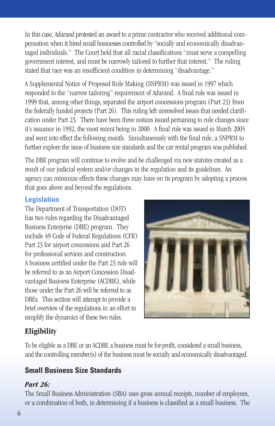In this case, Adarand protested an award to a prime contractor who received additional compensation when it hired small businesses controlled by "socially and economically disadvantaged individuals." The Court held that all racial classifications "must serve a compelling government interest, and must be narrowly tailored to further that interest." The ruling stated that race was an insufficient condition in determining "disadvantage."

A Supplemental Notice of Proposed Rule Making (SNPRM) was issued in 1997 which responded to the "narrow tailoring" requirement of Adarand. A final rule was issued in 1999 that, among other things, separated the airport concessions program (Part 23) from the federally funded projects (Part 26). This ruling left unresolved issues that needed clarification under Part 23. There have been three notices issued pertaining to rule changes since it's issuance in 1992, the most recent being in 2000. A final rule was issued in March 2005 and went into effect the following month. Simultaneously with the final rule, a SNPRM to further explore the issue of business size standards and the car rental program was published.

The DBE program will continue to evolve and be challenged via new statutes created as a result of our judicial system and/or changes in the regulation and its guidelines. An agency can minimize effects these changes may have on its program by adopting a process that goes above and beyond the regulations.

#### **Legislation**

The Department of Transportation (DOT) has two rules regarding the Disadvantaged Business Enterprise (DBE) program. They include 49 Code of Federal Regulations (CFR) Part 23 for airport concessions and Part 26 for professional services and construction. A business certified under the Part 23 rule will be referred to as an Airport Concession Disadvantaged Business Enterprise (ACDBE), while those under the Part 26 will be referred to as DBEs. This section will attempt to provide a brief overview of the regulations in an effort to simplify the dynamics of these two rules.



#### **Eligibility**

To be eligible as a DBE or an ACDBE a business must be for-profit, considered a small business, and the controlling member(s) of the business must be socially and economically disadvantaged.

#### **Small Business Size Standards**

#### *Part 26:*

The Small Business Administration (SBA) uses gross annual receipts, number of employees, or a combination of both, in determining if a business is classified as a small business. The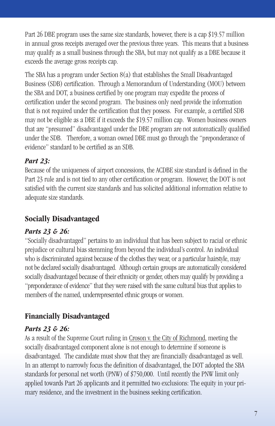Part 26 DBE program uses the same size standards, however, there is a cap \$19.57 million in annual gross receipts averaged over the previous three years. This means that a business may qualify as a small business through the SBA, but may not qualify as a DBE because it exceeds the average gross receipts cap.

The SBA has a program under Section 8(a) that establishes the Small Disadvantaged Business (SDB) certification. Through a Memorandum of Understanding (MOU) between the SBA and DOT, a business certified by one program may expedite the process of certification under the second program. The business only need provide the information that is not required under the certification that they possess. For example, a certified SDB may not be eligible as a DBE if it exceeds the \$19.57 million cap. Women business owners that are "presumed" disadvantaged under the DBE program are not automatically qualified under the SDB. Therefore, a woman owned DBE must go through the "preponderance of evidence" standard to be certified as an SDB.

#### *Part 23:*

Because of the uniqueness of airport concessions, the ACDBE size standard is defined in the Part 23 rule and is not tied to any other certification or program. However, the DOT is not satisfied with the current size standards and has solicited additional information relative to adequate size standards.

#### **Socially Disadvantaged**

#### *Parts 23 & 26:*

"Socially disadvantaged" pertains to an individual that has been subject to racial or ethnic prejudice or cultural bias stemming from beyond the individual's control. An individual who is discriminated against because of the clothes they wear, or a particular hairstyle, may not be declared socially disadvantaged. Although certain groups are automatically considered socially disadvantaged because of their ethnicity or gender, others may qualify by providing a "preponderance of evidence" that they were raised with the same cultural bias that applies to members of the named, underrepresented ethnic groups or women.

#### **Financially Disadvantaged**

#### *Parts 23 & 26:*

As a result of the Supreme Court ruling in Croson v. the City of Richmond, meeting the socially disadvantaged component alone is not enough to determine if someone is disadvantaged. The candidate must show that they are financially disadvantaged as well. In an attempt to narrowly focus the definition of disadvantaged, the DOT adopted the SBA standards for personal net worth (PNW) of \$750,000. Until recently the PNW limit only applied towards Part 26 applicants and it permitted two exclusions: The equity in your primary residence, and the investment in the business seeking certification.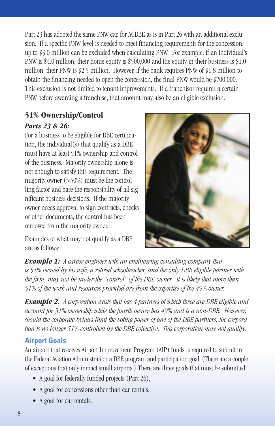Part 23 has adopted the same PNW cap for ACDBE as is in Part 26 with an additional exclusion. If a specific PNW level is needed to meet financing requirements for the concession, up to \$3.0 million can be excluded when calculating PNW. For example, if an individual's PNW is \$4.0 million, their home equity is \$500,000 and the equity in their business is \$1.0 million, their PNW is \$2.5 million. However, if the bank requires PNW of \$1.8 million to obtain the financing needed to open the concession, the final PNW would be \$700,000. This exclusion is not limited to tenant improvements. If a franchisor requires a certain PNW before awarding a franchise, that amount may also be an eligible exclusion.

#### **51% Ownership/Control**

#### *Parts 23 & 26:*

For a business to be eligible for DBE certification, the individual $(s)$  that qualify as a DBE must have at least 51% ownership and control of the business. Majority ownership alone is not enough to satisfy this requirement. The majority owner  $($ >50%) must be the controlling factor and bare the responsibility of all significant business decisions. If the majority owner needs approval to sign contracts, checks or other documents, the control has been removed from the majority owner.

Examples of what may not qualify as a DBE are as follows:



*Example 1: A career engineer with an engineering consulting company that is 51% owned by his wife, a retired schoolteacher, and the only DBE eligible partner with the firm, may not be under the "control" of the DBE owner. It is likely that more than 51% of the work and resources provided are from the expertise of the 49% owner.* 

*Example 2: A corporation exists that has 4 partners of which three are DBE eligible and account for 51% ownership while the fourth owner has 49% and is a non-DBE. However, should the corporate bylaws limit the voting power of one of the DBE partners, the corporation is no longer 51% controlled by the DBE collective. This corporation may not qualify.* 

#### **Airport Goals**

An airport that receives Airport Improvement Program (AIP) funds is required to submit to the Federal Aviation Administration a DBE program and participation goal. (There are a couple of exceptions that only impact small airports.) There are three goals that must be submitted:

- A goal for federally funded projects (Part 26),
- A goal for concessions other than car rentals,
- A goal for car rentals.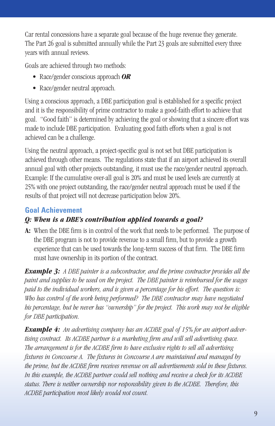Car rental concessions have a separate goal because of the huge revenue they generate. The Part 26 goal is submitted annually while the Part 23 goals are submitted every three years with annual reviews.

Goals are achieved through two methods:

- Race/gender conscious approach *OR*
- Race/gender neutral approach.

Using a conscious approach, a DBE participation goal is established for a specific project and it is the responsibility of prime contractor to make a good-faith effort to achieve that goal. "Good faith" is determined by achieving the goal or showing that a sincere effort was made to include DBE participation. Evaluating good faith efforts when a goal is not achieved can be a challenge.

Using the neutral approach, a project-specific goal is not set but DBE participation is achieved through other means. The regulations state that if an airport achieved its overall annual goal with other projects outstanding, it must use the race/gender neutral approach. Example: If the cumulative over-all goal is 20% and must be used levels are currently at 25% with one project outstanding, the race/gender neutral approach must be used if the results of that project will not decrease participation below 20%.

# **Goal Achievement**

#### *Q: When is a DBE's contribution applied towards a goal?*

**A:** When the DBE firm is in control of the work that needs to be performed. The purpose of the DBE program is not to provide revenue to a small firm, but to provide a growth experience that can be used towards the long-term success of that firm. The DBE firm must have ownership in its portion of the contract.

*Example 3: A DBE painter is a subcontractor, and the prime contractor provides all the paint and supplies to be used on the project. The DBE painter is reimbursed for the wages paid to the individual workers, and is given a percentage for his effort. The question is: Who has control of the work being performed? The DBE contractor may have negotiated his percentage, but he never has "ownership" for the project. This work may not be eligible for DBE participation.*

*Example 4: An advertising company has an ACDBE goal of 15% for an airport advertising contract. Its ACDBE partner is a marketing firm and will sell advertising space. The arrangement is for the ACDBE firm to have exclusive rights to sell all advertising fixtures in Concourse A. The fixtures in Concourse A are maintained and managed by the prime, but the ACDBE firm receives revenue on all advertisements sold in these fixtures. In this example, the ACDBE partner could sell nothing and receive a check for its ACDBE status. There is neither ownership nor responsibility given to the ACDBE. Therefore, this ACDBE participation most likely would not count.*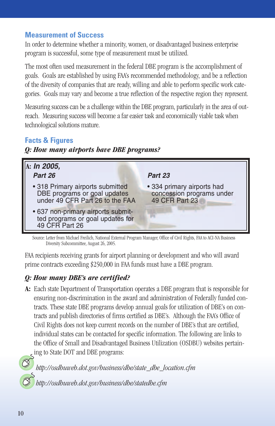#### **Measurement of Success**

In order to determine whether a minority, women, or disadvantaged business enterprise program is successful, some type of measurement must be utilized.

The most often used measurement in the federal DBE program is the accomplishment of goals. Goals are established by using FAA's recommended methodology, and be a reflection of the diversity of companies that are ready, willing and able to perform specific work categories. Goals may vary and become a true reflection of the respective region they represent.

Measuring success can be a challenge within the DBE program, particularly in the area of outreach. Measuring success will become a far easier task and economically viable task when technological solutions mature.

#### **Facts & Figures**

#### *Q: How many airports have DBE programs?*



Source: Letter from Michael Freilich, National External Program Manager, Office of Civil Rights, FAA to ACI-NA Business Diversity Subcommittee, August 26, 2005.

FAA recipients receiving grants for airport planning or development and who will award prime contracts exceeding \$250,000 in FAA funds must have a DBE program.

#### *Q: How many DBE's are certified?*

**A:** Each state Department of Transportation operates a DBE program that is responsible for ensuring non-discrimination in the award and administration of Federally funded contracts. These state DBE programs develop annual goals for utilization of DBE's on contracts and publish directories of firms certified as DBE's. Although the FAA's Office of Civil Rights does not keep current records on the number of DBE's that are certified, individual states can be contacted for specific information. The following are links to the Office of Small and Disadvantaged Business Utilization (OSDBU) websites pertaining to State DOT and DBE programs:

*http://osdbuweb.dot.gov/business/dbe/state\_dbe\_location.cfm*

*http://osdbuweb.dot.gov/business/dbe/statedbe.cfm*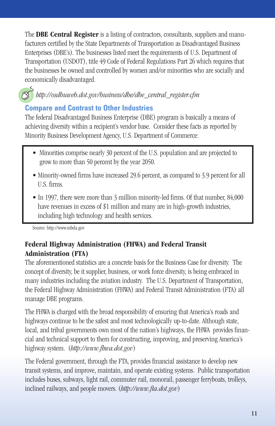The **DBE Central Register** is a listing of contractors, consultants, suppliers and manufacturers certified by the State Departments of Transportation as Disadvantaged Business Enterprises (DBE's). The businesses listed meet the requirements of U.S. Department of Transportation (USDOT), title 49 Code of Federal Regulations Part 26 which requires that the businesses be owned and controlled by women and/or minorities who are socially and economically disadvantaged.

*http://osdbuweb.dot.gov/business/dbe/dbe\_central\_register.cfm* 

#### **Compare and Contrast to Other Industries**

The federal Disadvantaged Business Enterprise (DBE) program is basically a means of achieving diversity within a recipient's vendor base. Consider these facts as reported by Minority Business Development Agency, U.S. Department of Commerce:

- Minorities comprise nearly 30 percent of the U.S. population and are projected to grow to more than 50 percent by the year 2050.
- Minority-owned firms have increased 29.6 percent, as compared to 3.9 percent for all U.S. firms.
- In 1997, there were more than 3 million minority-led firms. Of that number, 84,000 have revenues in excess of \$1 million and many are in high-growth industries, including high technology and health services.

Source: http://www.mbda.gov

#### **Federal Highway Administration (FHWA) and Federal Transit Administration (FTA)**

The aforementioned statistics are a concrete basis for the Business Case for diversity. The concept of diversity, be it supplier, business, or work force diversity, is being embraced in many industries including the aviation industry. The U.S. Department of Transportation, the Federal Highway Administration (FHWA) and Federal Transit Administration (FTA) all manage DBE programs.

The FHWA is charged with the broad responsibility of ensuring that America's roads and highways continue to be the safest and most technologically up-to-date. Although state, local, and tribal governments own most of the nation's highways, the FHWA provides financial and technical support to them for constructing, improving, and preserving America's highway system. (*http://www.fhwa.dot.gov*)

The Federal government, through the FTA, provides financial assistance to develop new transit systems, and improve, maintain, and operate existing systems. Public transportation includes buses, subways, light rail, commuter rail, monorail, passenger ferryboats, trolleys, inclined railways, and people movers. (*http://www.fta.dot.gov*)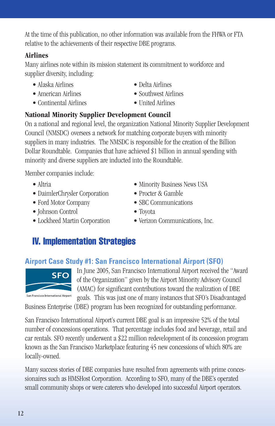At the time of this publication, no other information was available from the FHWA or FTA relative to the achievements of their respective DBE programs.

#### **Airlines**

Many airlines note within its mission statement its commitment to workforce and supplier diversity, including:

- Alaska Airlines Delta Airlines
- 
- Continental Airlines United Airlines
- 
- American Airlines Southwest Airlines
	-

#### **National Minority Supplier Development Council**

On a national and regional level, the organization National Minority Supplier Development Council (NMSDC) oversees a network for matching corporate buyers with minority suppliers in many industries. The NMSDC is responsible for the creation of the Billion Dollar Roundtable. Companies that have achieved \$1 billion in annual spending with minority and diverse suppliers are inducted into the Roundtable.

Member companies include:

- 
- DaimlerChrysler Corporation Procter & Gamble
- 
- Johnson Control Toyota
- 
- Altria Minority Business News USA
	-
- Ford Motor Company SBC Communications
	-
- Lockheed Martin Corporation Verizon Communications, Inc.

# **IV. Implementation Strategies**

# **Airport Case Study #1: San Francisco International Airport (SFO)**

In June 2005, San Francisco International Airport received the "Award of the Organization" given by the Airport Minority Advisory Council (AMAC) for significant contributions toward the realization of DBE goals. This was just one of many instances that SFO's Disadvantaged

Business Enterprise (DBE) program has been recognized for outstanding performance.

San Francisco International Airport's current DBE goal is an impressive 52% of the total number of concessions operations. That percentage includes food and beverage, retail and car rentals. SFO recently underwent a \$22 million redevelopment of its concession program known as the San Francisco Marketplace featuring 45 new concessions of which 80% are locally-owned.

Many success stories of DBE companies have resulted from agreements with prime concessionaires such as HMSHost Corporation. According to SFO, many of the DBE's operated small community shops or were caterers who developed into successful Airport operators.

# **SFC**

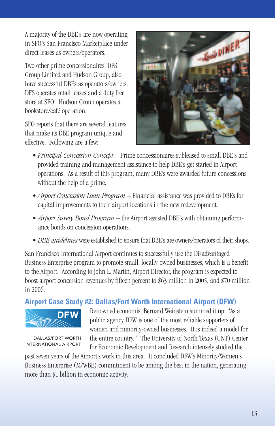A majority of the DBE's are now operating in SFO's San Francisco Marketplace under direct leases as owners/operators.

Two other prime concessionaires, DFS Group Limited and Hudson Group, also have successful DBEs as operators/owners. DFS operates retail leases and a duty free store at SFO. Hudson Group operates a bookstore/café operation.

SFO reports that there are several features that make its DBE program unique and effective. Following are a few:



- *Principal Concession Concept* Prime concessionaires subleased to small DBE's and provided training and management assistance to help DBE's get started in Airport operations. As a result of this program, many DBE's were awarded future concessions without the help of a prime.
- *Airport Concession Loan Program* Financial assistance was provided to DBEs for capital improvements to their airport locations in the new redevelopment.
- *Airport Surety Bond Program* the Airport assisted DBE's with obtaining performance bonds on concession operations.
- *DBE guidelines* were established to ensure that DBE's are owners/operators of their shops.

San Francisco International Airport continues to successfully use the Disadvantaged Business Enterprise program to promote small, locally-owned businesses, which is a benefit to the Airport. According to John L. Martin, Airport Director, the program is expected to boost airport concession revenues by fifteen percent to \$63 million in 2005, and \$70 million in 2006.

#### **Airport Case Study #2: Dallas/Fort Worth International Airport (DFW)**



DALLAS/FORT WORTH **INTERNATIONAL AIRPORT**  Renowned economist Bernard Weinstein summed it up: "As a public agency DFW is one of the most reliable supporters of women and minority-owned businesses. It is indeed a model for the entire country." The University of North Texas (UNT) Center for Economic Development and Research intensely studied the

past seven years of the Airport's work in this area. It concluded DFW's Minority/Women's Business Enterprise (M/WBE) commitment to be among the best in the nation, generating more than \$1 billion in economic activity.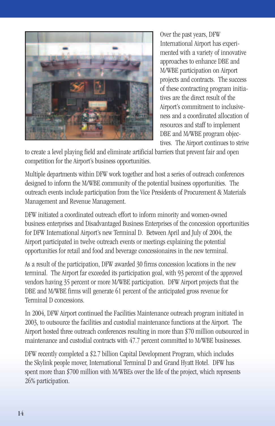

Over the past years, DFW International Airport has experimented with a variety of innovative approaches to enhance DBE and M/WBE participation on Airport projects and contracts. The success of these contracting program initiatives are the direct result of the Airport's commitment to inclusiveness and a coordinated allocation of resources and staff to implement DBE and M/WBE program objectives. The Airport continues to strive

to create a level playing field and eliminate artificial barriers that prevent fair and open competition for the Airport's business opportunities.

Multiple departments within DFW work together and host a series of outreach conferences designed to inform the M/WBE community of the potential business opportunities. The outreach events include participation from the Vice Presidents of Procurement & Materials Management and Revenue Management.

DFW initiated a coordinated outreach effort to inform minority and women-owned business enterprises and Disadvantaged Business Enterprises of the concession opportunities for DFW International Airport's new Terminal D. Between April and July of 2004, the Airport participated in twelve outreach events or meetings explaining the potential opportunities for retail and food and beverage concessionaires in the new terminal.

As a result of the participation, DFW awarded 30 firms concession locations in the new terminal. The Airport far exceeded its participation goal, with 93 percent of the approved vendors having 35 percent or more M/WBE participation. DFW Airport projects that the DBE and M/WBE firms will generate 61 percent of the anticipated gross revenue for Terminal D concessions.

In 2004, DFW Airport continued the Facilities Maintenance outreach program initiated in 2003, to outsource the facilities and custodial maintenance functions at the Airport. The Airport hosted three outreach conferences resulting in more than \$70 million outsourced in maintenance and custodial contracts with 47.7 percent committed to M/WBE businesses.

DFW recently completed a \$2.7 billion Capital Development Program, which includes the Skylink people mover, International Terminal D and Grand Hyatt Hotel. DFW has spent more than \$700 million with M/WBEs over the life of the project, which represents 26% participation.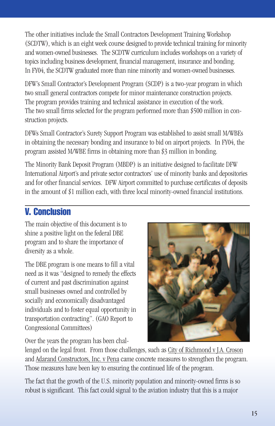The other initiatives include the Small Contractors Development Training Workshop (SCDTW), which is an eight week course designed to provide technical training for minority and women-owned businesses. The SCDTW curriculum includes workshops on a variety of topics including business development, financial management, insurance and bonding. In FY04, the SCDTW graduated more than nine minority and women-owned businesses.

DFW's Small Contractor's Development Program (SCDP) is a two-year program in which two small general contractors compete for minor maintenance construction projects. The program provides training and technical assistance in execution of the work. The two small firms selected for the program performed more than \$500 million in construction projects.

DFWs Small Contractor's Surety Support Program was established to assist small M/WBEs in obtaining the necessary bonding and insurance to bid on airport projects. In FY04, the program assisted M/WBE firms in obtaining more than \$3 million in bonding.

The Minority Bank Deposit Program (MBDP) is an initiative designed to facilitate DFW International Airport's and private sector contractors' use of minority banks and depositories and for other financial services. DFW Airport committed to purchase certificates of deposits in the amount of \$1 million each, with three local minority-owned financial institutions.

#### **V. Conclusion**

The main objective of this document is to shine a positive light on the federal DBE program and to share the importance of diversity as a whole.

The DBE program is one means to fill a vital need as it was "designed to remedy the effects of current and past discrimination against small businesses owned and controlled by socially and economically disadvantaged individuals and to foster equal opportunity in transportation contracting". (GAO Report to Congressional Committees)

Over the years the program has been chal-



lenged on the legal front. From those challenges, such as City of Richmond v J.A. Croson and Adarand Constructors, Inc. v Pena came concrete measures to strengthen the program. Those measures have been key to ensuring the continued life of the program.

The fact that the growth of the U.S. minority population and minority-owned firms is so robust is significant. This fact could signal to the aviation industry that this is a major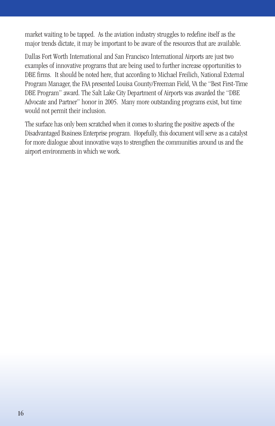market waiting to be tapped. As the aviation industry struggles to redefine itself as the major trends dictate, it may be important to be aware of the resources that are available.

Dallas Fort Worth International and San Francisco International Airports are just two examples of innovative programs that are being used to further increase opportunities to DBE firms. It should be noted here, that according to Michael Freilich, National External Program Manager, the FAA presented Louisa County/Freeman Field, VA the "Best First-Time DBE Program" award. The Salt Lake City Department of Airports was awarded the "DBE Advocate and Partner" honor in 2005. Many more outstanding programs exist, but time would not permit their inclusion.

The surface has only been scratched when it comes to sharing the positive aspects of the Disadvantaged Business Enterprise program. Hopefully, this document will serve as a catalyst for more dialogue about innovative ways to strengthen the communities around us and the airport environments in which we work.